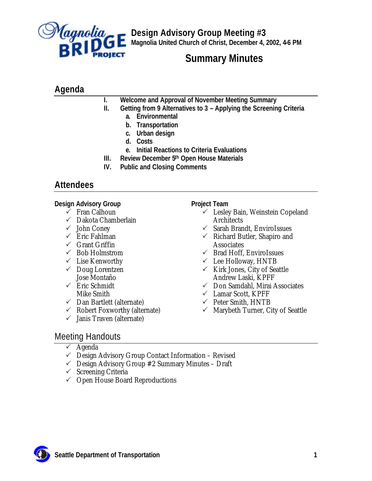

**Design Advisory Group Meeting #3 Magnolia United Church of Christ, December 4, 2002, 4-6 PM**

# **Summary Minutes**

# **Agenda**

- **I. Welcome and Approval of November Meeting Summary**
- **II. Getting from 9 Alternatives to 3 Applying the Screening Criteria**
	- **a. Environmental**
	- **b. Transportation**
	- **c. Urban design**
	- **d. Costs**
	- **e. Initial Reactions to Criteria Evaluations**
- **III. Review December 5th Open House Materials**
- **IV. Public and Closing Comments**

# **Attendees**

**Design Advisory Group**

- $\checkmark$  Fran Calhoun
- $\checkmark$  Dakota Chamberlain
- $\checkmark$  John Coney
- $\checkmark$  Eric Fahlman
- $\checkmark$  Grant Griffin
- $\checkmark~$  Bob Holmstrom
- $\checkmark$  Lise Kenworthy
- $\checkmark$  Doug Lorentzen Jose Montaño
- $\checkmark$  Eric Schmidt Mike Smith
- $\checkmark$  Dan Bartlett (alternate)
- $\checkmark$  Robert Foxworthy (alternate)
- $\checkmark$  Janis Traven (alternate)

## **Project Team**

- $\checkmark$  Lesley Bain, Weinstein Copeland **Architects**
- $\checkmark$  Sarah Brandt, EnviroIssues
- $\checkmark$  Richard Butler, Shapiro and **Associates**
- $\checkmark$  Brad Hoff, EnviroIssues
- $\checkmark$  Lee Holloway, HNTB
- $\checkmark$  Kirk Jones, City of Seattle Andrew Laski, KPFF
- $\checkmark$  Don Samdahl, Mirai Associates
- $\checkmark$  Lamar Scott, KPFF
- $\checkmark$  Peter Smith, HNTB
- $\checkmark$  Marybeth Turner, City of Seattle

# Meeting Handouts

- $\checkmark$  Agenda
- $\checkmark$  Design Advisory Group Contact Information Revised
- $\checkmark$  Design Advisory Group #2 Summary Minutes Draft
- $\checkmark$  Screening Criteria
- $\checkmark$  Open House Board Reproductions

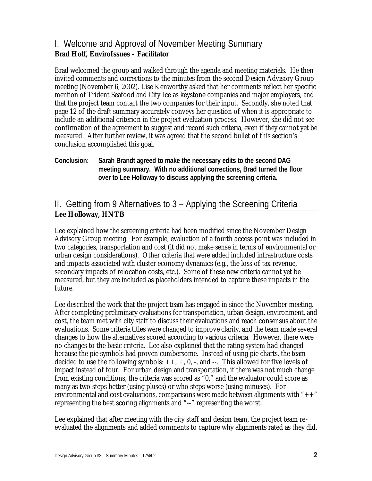## I. Welcome and Approval of November Meeting Summary **Brad Hoff, EnviroIssues – Facilitator**

Brad welcomed the group and walked through the agenda and meeting materials. He then invited comments and corrections to the minutes from the second Design Advisory Group meeting (November 6, 2002). Lise Kenworthy asked that her comments reflect her specific mention of Trident Seafood and City Ice as keystone companies and major employers, and that the project team contact the two companies for their input. Secondly, she noted that page 12 of the draft summary accurately conveys her question of when it is appropriate to include an additional criterion in the project evaluation process. However, she did not see confirmation of the agreement to suggest and record such criteria, even if they cannot yet be measured. After further review, it was agreed that the second bullet of this section's conclusion accomplished this goal.

## **Conclusion: Sarah Brandt agreed to make the necessary edits to the second DAG meeting summary. With no additional corrections, Brad turned the floor over to Lee Holloway to discuss applying the screening criteria.**

# II. Getting from 9 Alternatives to 3 – Applying the Screening Criteria **Lee Holloway, HNTB**

Lee explained how the screening criteria had been modified since the November Design Advisory Group meeting. For example, evaluation of a fourth access point was included in two categories, transportation and cost (it did not make sense in terms of environmental or urban design considerations). Other criteria that were added included infrastructure costs and impacts associated with cluster economy dynamics (e.g., the loss of tax revenue, secondary impacts of relocation costs, etc.). Some of these new criteria cannot yet be measured, but they are included as placeholders intended to capture these impacts in the future.

Lee described the work that the project team has engaged in since the November meeting. After completing preliminary evaluations for transportation, urban design, environment, and cost, the team met with city staff to discuss their evaluations and reach consensus about the evaluations. Some criteria titles were changed to improve clarity, and the team made several changes to how the alternatives scored according to various criteria. However, there were no changes to the basic criteria. Lee also explained that the rating system had changed because the pie symbols had proven cumbersome. Instead of using pie charts, the team decided to use the following symbols:  $++$ ,  $+$ ,  $\theta$ ,  $-$ , and  $-$ . This allowed for five levels of impact instead of four. For urban design and transportation, if there was not much change from existing conditions, the criteria was scored as "0," and the evaluator could score as many as two steps better (using pluses) or who steps worse (using minuses). For environmental and cost evaluations, comparisons were made between alignments with " $++$ " representing the best scoring alignments and "--" representing the worst.

Lee explained that after meeting with the city staff and design team, the project team reevaluated the alignments and added comments to capture why alignments rated as they did.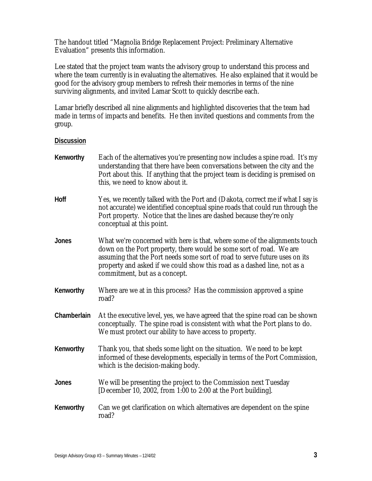The handout titled "Magnolia Bridge Replacement Project: Preliminary Alternative Evaluation" presents this information.

Lee stated that the project team wants the advisory group to understand this process and where the team currently is in evaluating the alternatives. He also explained that it would be good for the advisory group members to refresh their memories in terms of the nine surviving alignments, and invited Lamar Scott to quickly describe each.

Lamar briefly described all nine alignments and highlighted discoveries that the team had made in terms of impacts and benefits. He then invited questions and comments from the group.

| Kenworthy    | Each of the alternatives you're presenting now includes a spine road. It's my<br>understanding that there have been conversations between the city and the<br>Port about this. If anything that the project team is deciding is premised on<br>this, we need to know about it.                                                               |
|--------------|----------------------------------------------------------------------------------------------------------------------------------------------------------------------------------------------------------------------------------------------------------------------------------------------------------------------------------------------|
| Hoff         | Yes, we recently talked with the Port and (Dakota, correct me if what I say is<br>not accurate) we identified conceptual spine roads that could run through the<br>Port property. Notice that the lines are dashed because they're only<br>conceptual at this point.                                                                         |
| <b>Jones</b> | What we're concerned with here is that, where some of the alignments touch<br>down on the Port property, there would be some sort of road. We are<br>assuming that the Port needs some sort of road to serve future uses on its<br>property and asked if we could show this road as a dashed line, not as a<br>commitment, but as a concept. |
| Kenworthy    | Where are we at in this process? Has the commission approved a spine<br>road?                                                                                                                                                                                                                                                                |
| Chamberlain  | At the executive level, yes, we have agreed that the spine road can be shown<br>conceptually. The spine road is consistent with what the Port plans to do.<br>We must protect our ability to have access to property.                                                                                                                        |
| Kenworthy    | Thank you, that sheds some light on the situation. We need to be kept<br>informed of these developments, especially in terms of the Port Commission,<br>which is the decision-making body.                                                                                                                                                   |
| <b>Jones</b> | We will be presenting the project to the Commission next Tuesday<br>[December 10, 2002, from 1:00 to 2:00 at the Port building].                                                                                                                                                                                                             |
| Kenworthy    | Can we get clarification on which alternatives are dependent on the spine<br>road?                                                                                                                                                                                                                                                           |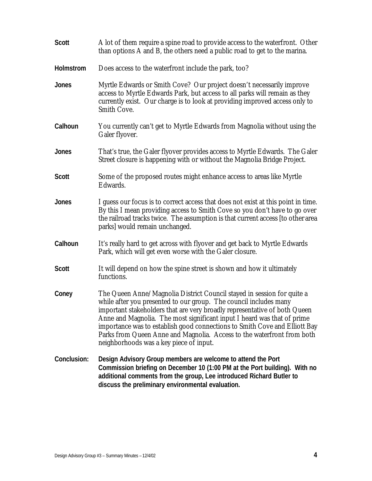| <b>Scott</b>     | A lot of them require a spine road to provide access to the waterfront. Other<br>than options A and B, the others need a public road to get to the marina.                                                                                                                                                                                                                                                                                                                                             |
|------------------|--------------------------------------------------------------------------------------------------------------------------------------------------------------------------------------------------------------------------------------------------------------------------------------------------------------------------------------------------------------------------------------------------------------------------------------------------------------------------------------------------------|
| <b>Holmstrom</b> | Does access to the waterfront include the park, too?                                                                                                                                                                                                                                                                                                                                                                                                                                                   |
| Jones            | Myrtle Edwards or Smith Cove? Our project doesn't necessarily improve<br>access to Myrtle Edwards Park, but access to all parks will remain as they<br>currently exist. Our charge is to look at providing improved access only to<br>Smith Cove.                                                                                                                                                                                                                                                      |
| Calhoun          | You currently can't get to Myrtle Edwards from Magnolia without using the<br>Galer flyover.                                                                                                                                                                                                                                                                                                                                                                                                            |
| Jones            | That's true, the Galer flyover provides access to Myrtle Edwards. The Galer<br>Street closure is happening with or without the Magnolia Bridge Project.                                                                                                                                                                                                                                                                                                                                                |
| <b>Scott</b>     | Some of the proposed routes might enhance access to areas like Myrtle<br>Edwards.                                                                                                                                                                                                                                                                                                                                                                                                                      |
| Jones            | I guess our focus is to correct access that does not exist at this point in time.<br>By this I mean providing access to Smith Cove so you don't have to go over<br>the railroad tracks twice. The assumption is that current access [to other area<br>parks] would remain unchanged.                                                                                                                                                                                                                   |
| Calhoun          | It's really hard to get across with flyover and get back to Myrtle Edwards<br>Park, which will get even worse with the Galer closure.                                                                                                                                                                                                                                                                                                                                                                  |
| <b>Scott</b>     | It will depend on how the spine street is shown and how it ultimately<br>functions.                                                                                                                                                                                                                                                                                                                                                                                                                    |
| Coney            | The Queen Anne/Magnolia District Council stayed in session for quite a<br>while after you presented to our group. The council includes many<br>important stakeholders that are very broadly representative of both Queen<br>Anne and Magnolia. The most significant input I heard was that of prime<br>importance was to establish good connections to Smith Cove and Elliott Bay<br>Parks from Queen Anne and Magnolia. Access to the waterfront from both<br>neighborhoods was a key piece of input. |
| Conclusion:      | Design Advisory Group members are welcome to attend the Port<br>Commission briefing on December 10 (1:00 PM at the Port building). With no<br>additional comments from the group, Lee introduced Richard Butler to<br>discuss the preliminary environmental evaluation.                                                                                                                                                                                                                                |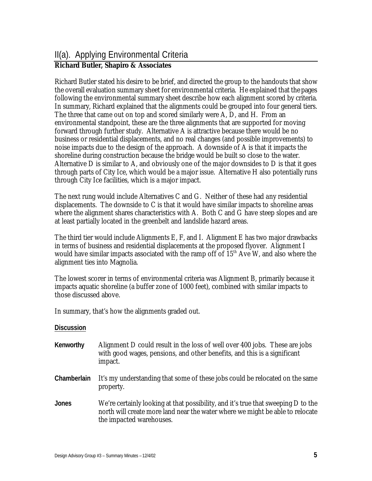# **Richard Butler, Shapiro & Associates**

Richard Butler stated his desire to be brief, and directed the group to the handouts that show the overall evaluation summary sheet for environmental criteria. He explained that the pages following the environmental summary sheet describe how each alignment scored by criteria. In summary, Richard explained that the alignments could be grouped into four general tiers. The three that came out on top and scored similarly were A, D, and H. From an environmental standpoint, these are the three alignments that are supported for moving forward through further study. Alternative A is attractive because there would be no business or residential displacements, and no real changes (and possible improvements) to noise impacts due to the design of the approach. A downside of A is that it impacts the shoreline during construction because the bridge would be built so close to the water. Alternative D is similar to A, and obviously one of the major downsides to D is that it goes through parts of City Ice, which would be a major issue. Alternative H also potentially runs through City Ice facilities, which is a major impact.

The next rung would include Alternatives C and G. Neither of these had any residential displacements. The downside to C is that it would have similar impacts to shoreline areas where the alignment shares characteristics with A. Both C and G have steep slopes and are at least partially located in the greenbelt and landslide hazard areas.

The third tier would include Alignments E, F, and I. Alignment E has two major drawbacks in terms of business and residential displacements at the proposed flyover. Alignment I would have similar impacts associated with the ramp off of  $15<sup>th</sup>$  Ave W, and also where the alignment ties into Magnolia.

The lowest scorer in terms of environmental criteria was Alignment B, primarily because it impacts aquatic shoreline (a buffer zone of 1000 feet), combined with similar impacts to those discussed above.

In summary, that's how the alignments graded out.

- **Kenworthy** Alignment D could result in the loss of well over 400 jobs. These are jobs with good wages, pensions, and other benefits, and this is a significant impact.
- **Chamberlain** It's my understanding that some of these jobs could be relocated on the same property.
- **Jones** We're certainly looking at that possibility, and it's true that sweeping D to the north will create more land near the water where we might be able to relocate the impacted warehouses.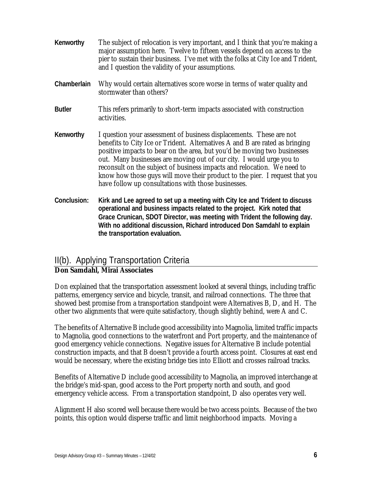- **Kenworthy** The subject of relocation is very important, and I think that you're making a major assumption here. Twelve to fifteen vessels depend on access to the pier to sustain their business. I've met with the folks at City Ice and Trident, and I question the validity of your assumptions.
- **Chamberlain** Why would certain alternatives score worse in terms of water quality and stormwater than others?
- **Butler** This refers primarily to short-term impacts associated with construction activities.
- **Kenworthy** I question your assessment of business displacements. These are not benefits to City Ice or Trident. Alternatives A and B are rated as bringing positive impacts to bear on the area, but you'd be moving two businesses out. Many businesses are moving out of our city. I would urge you to reconsult on the subject of business impacts and relocation. We need to know how those guys will move their product to the pier. I request that you have follow up consultations with those businesses.
- **Conclusion: Kirk and Lee agreed to set up a meeting with City Ice and Trident to discuss operational and business impacts related to the project. Kirk noted that Grace Crunican, SDOT Director, was meeting with Trident the following day. With no additional discussion, Richard introduced Don Samdahl to explain the transportation evaluation.**

# II(b). Applying Transportation Criteria

## **Don Samdahl, Mirai Associates**

Don explained that the transportation assessment looked at several things, including traffic patterns, emergency service and bicycle, transit, and railroad connections. The three that showed best promise from a transportation standpoint were Alternatives B, D, and H. The other two alignments that were quite satisfactory, though slightly behind, were A and C.

The benefits of Alternative B include good accessibility into Magnolia, limited traffic impacts to Magnolia, good connections to the waterfront and Port property, and the maintenance of good emergency vehicle connections. Negative issues for Alternative B include potential construction impacts, and that B doesn't provide a fourth access point. Closures at east end would be necessary, where the existing bridge ties into Elliott and crosses railroad tracks.

Benefits of Alternative D include good accessibility to Magnolia, an improved interchange at the bridge's mid-span, good access to the Port property north and south, and good emergency vehicle access. From a transportation standpoint, D also operates very well.

Alignment H also scored well because there would be two access points. Because of the two points, this option would disperse traffic and limit neighborhood impacts. Moving a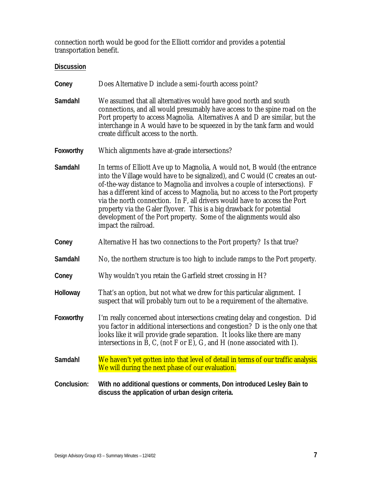connection north would be good for the Elliott corridor and provides a potential transportation benefit.

| Does Alternative D include a semi-fourth access point?<br>Coney |
|-----------------------------------------------------------------|
|-----------------------------------------------------------------|

- **Samdahl** We assumed that all alternatives would have good north and south connections, and all would presumably have access to the spine road on the Port property to access Magnolia. Alternatives A and D are similar, but the interchange in A would have to be squeezed in by the tank farm and would create difficult access to the north.
- **Foxworthy** Which alignments have at-grade intersections?
- **Samdahl** In terms of Elliott Ave up to Magnolia, A would not, B would (the entrance into the Village would have to be signalized), and C would (C creates an outof-the-way distance to Magnolia and involves a couple of intersections). F has a different kind of access to Magnolia, but no access to the Port property via the north connection. In F, all drivers would have to access the Port property via the Galer flyover. This is a big drawback for potential development of the Port property. Some of the alignments would also impact the railroad.
- **Coney** Alternative H has two connections to the Port property? Is that true?
- Samdahl No, the northern structure is too high to include ramps to the Port property.
- **Coney** Why wouldn't you retain the Garfield street crossing in H?
- **Holloway** That's an option, but not what we drew for this particular alignment. I suspect that will probably turn out to be a requirement of the alternative.
- **Foxworthy** I'm really concerned about intersections creating delay and congestion. Did you factor in additional intersections and congestion? D is the only one that looks like it will provide grade separation. It looks like there are many intersections in B, C, (not F or E), G, and H (none associated with I).
- **Samdahl** We haven't yet gotten into that level of detail in terms of our traffic analysis. We will during the next phase of our evaluation.
- **Conclusion: With no additional questions or comments, Don introduced Lesley Bain to discuss the application of urban design criteria.**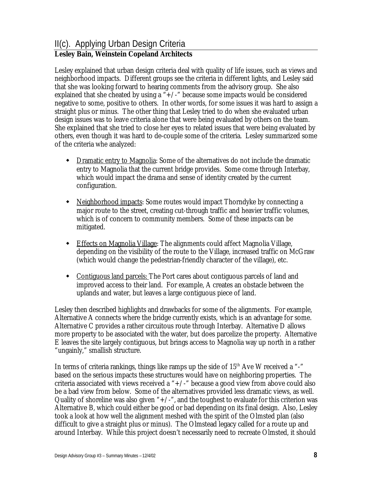# II(c). Applying Urban Design Criteria

# **Lesley Bain, Weinstein Copeland Architects**

Lesley explained that urban design criteria deal with quality of life issues, such as views and neighborhood impacts. Different groups see the criteria in different lights, and Lesley said that she was looking forward to hearing comments from the advisory group. She also explained that she cheated by using a " $+/-$ " because some impacts would be considered negative to some, positive to others. In other words, for some issues it was hard to assign a straight plus or minus. The other thing that Lesley tried to do when she evaluated urban design issues was to leave criteria alone that were being evaluated by others on the team. She explained that she tried to close her eyes to related issues that were being evaluated by others, even though it was hard to de-couple some of the criteria. Lesley summarized some of the criteria whe analyzed:

- Dramatic entry to Magnolia: Some of the alternatives do not include the dramatic entry to Magnolia that the current bridge provides. Some come through Interbay, which would impact the drama and sense of identity created by the current configuration.
- Neighborhood impacts: Some routes would impact Thorndyke by connecting a major route to the street, creating cut-through traffic and heavier traffic volumes, which is of concern to community members. Some of these impacts can be mitigated.
- Effects on Magnolia Village: The alignments could affect Magnolia Village, depending on the visibility of the route to the Village, increased traffic on McGraw (which would change the pedestrian-friendly character of the village), etc.
- Contiguous land parcels: The Port cares about contiguous parcels of land and improved access to their land. For example, A creates an obstacle between the uplands and water, but leaves a large contiguous piece of land.

Lesley then described highlights and drawbacks for some of the alignments. For example, Alternative A connects where the bridge currently exists, which is an advantage for some. Alternative C provides a rather circuitous route through Interbay. Alternative D allows more property to be associated with the water, but does parcelize the property. Alternative E leaves the site largely contiguous, but brings access to Magnolia way up north in a rather "ungainly," smallish structure.

In terms of criteria rankings, things like ramps up the side of  $15<sup>th</sup>$  Ave W received a "-" based on the serious impacts these structures would have on neighboring properties. The criteria associated with views received a " $+/-$ " because a good view from above could also be a bad view from below. Some of the alternatives provided less dramatic views, as well. Quality of shoreline was also given " $+/-$ ", and the toughest to evaluate for this criterion was Alternative B, which could either be good or bad depending on its final design. Also, Lesley took a look at how well the alignment meshed with the spirit of the Olmsted plan (also difficult to give a straight plus or minus). The Olmstead legacy called for a route up and around Interbay. While this project doesn't necessarily need to recreate Olmsted, it should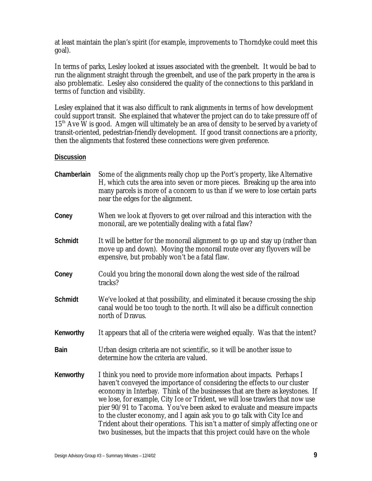at least maintain the plan's spirit (for example, improvements to Thorndyke could meet this goal).

In terms of parks, Lesley looked at issues associated with the greenbelt. It would be bad to run the alignment straight through the greenbelt, and use of the park property in the area is also problematic. Lesley also considered the quality of the connections to this parkland in terms of function and visibility.

Lesley explained that it was also difficult to rank alignments in terms of how development could support transit. She explained that whatever the project can do to take pressure off of  $15<sup>th</sup>$  Ave W is good. Amgen will ultimately be an area of density to be served by a variety of transit-oriented, pedestrian-friendly development. If good transit connections are a priority, then the alignments that fostered these connections were given preference.

| Chamberlain    | Some of the alignments really chop up the Port's property, like Alternative<br>H, which cuts the area into seven or more pieces. Breaking up the area into<br>many parcels is more of a concern to us than if we were to lose certain parts<br>near the edges for the alignment.                                                                                                                                                                                                                                                                                                                                                          |
|----------------|-------------------------------------------------------------------------------------------------------------------------------------------------------------------------------------------------------------------------------------------------------------------------------------------------------------------------------------------------------------------------------------------------------------------------------------------------------------------------------------------------------------------------------------------------------------------------------------------------------------------------------------------|
| Coney          | When we look at flyovers to get over railroad and this interaction with the<br>monorail, are we potentially dealing with a fatal flaw?                                                                                                                                                                                                                                                                                                                                                                                                                                                                                                    |
| <b>Schmidt</b> | It will be better for the monorail alignment to go up and stay up (rather than<br>move up and down). Moving the monorail route over any flyovers will be<br>expensive, but probably won't be a fatal flaw.                                                                                                                                                                                                                                                                                                                                                                                                                                |
| Coney          | Could you bring the monorail down along the west side of the railroad<br>tracks?                                                                                                                                                                                                                                                                                                                                                                                                                                                                                                                                                          |
| <b>Schmidt</b> | We've looked at that possibility, and eliminated it because crossing the ship<br>canal would be too tough to the north. It will also be a difficult connection<br>north of Dravus.                                                                                                                                                                                                                                                                                                                                                                                                                                                        |
| Kenworthy      | It appears that all of the criteria were weighed equally. Was that the intent?                                                                                                                                                                                                                                                                                                                                                                                                                                                                                                                                                            |
| Bain           | Urban design criteria are not scientific, so it will be another issue to<br>determine how the criteria are valued.                                                                                                                                                                                                                                                                                                                                                                                                                                                                                                                        |
| Kenworthy      | I think you need to provide more information about impacts. Perhaps I<br>haven't conveyed the importance of considering the effects to our cluster<br>economy in Interbay. Think of the businesses that are there as keystones. If<br>we lose, for example, City Ice or Trident, we will lose trawlers that now use<br>pier 90/91 to Tacoma. You've been asked to evaluate and measure impacts<br>to the cluster economy, and I again ask you to go talk with City Ice and<br>Trident about their operations. This isn't a matter of simply affecting one or<br>two businesses, but the impacts that this project could have on the whole |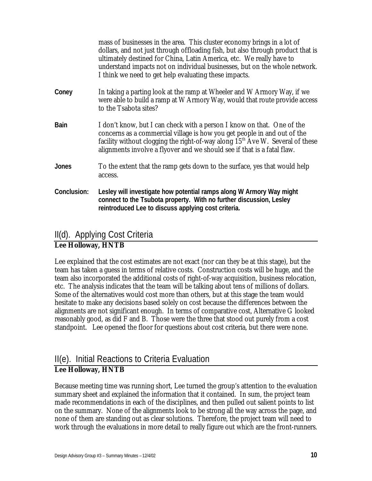|              | mass of businesses in the area. This cluster economy brings in a lot of<br>dollars, and not just through offloading fish, but also through product that is<br>ultimately destined for China, Latin America, etc. We really have to<br>understand impacts not on individual businesses, but on the whole network.<br>I think we need to get help evaluating these impacts. |
|--------------|---------------------------------------------------------------------------------------------------------------------------------------------------------------------------------------------------------------------------------------------------------------------------------------------------------------------------------------------------------------------------|
| Coney        | In taking a parting look at the ramp at Wheeler and W Armory Way, if we<br>were able to build a ramp at W Armory Way, would that route provide access<br>to the Tsabota sites?                                                                                                                                                                                            |
| <b>Bain</b>  | I don't know, but I can check with a person I know on that. One of the<br>concerns as a commercial village is how you get people in and out of the<br>facility without clogging the right-of-way along $15th$ Ave W. Several of these<br>alignments involve a flyover and we should see if that is a fatal flaw.                                                          |
| <b>Jones</b> | To the extent that the ramp gets down to the surface, yes that would help<br>access.                                                                                                                                                                                                                                                                                      |
| Conclusion:  | Lesley will investigate how potential ramps along W Armory Way might<br>connect to the Tsubota property. With no further discussion, Lesley<br>reintroduced Lee to discuss applying cost criteria.                                                                                                                                                                        |

# II(d). Applying Cost Criteria

## **Lee Holloway, HNTB**

Lee explained that the cost estimates are not exact (nor can they be at this stage), but the team has taken a guess in terms of relative costs. Construction costs will be huge, and the team also incorporated the additional costs of right-of-way acquisition, business relocation, etc. The analysis indicates that the team will be talking about tens of millions of dollars. Some of the alternatives would cost more than others, but at this stage the team would hesitate to make any decisions based solely on cost because the differences between the alignments are not significant enough. In terms of comparative cost, Alternative G looked reasonably good, as did F and B. Those were the three that stood out purely from a cost standpoint. Lee opened the floor for questions about cost criteria, but there were none.

# II(e). Initial Reactions to Criteria Evaluation **Lee Holloway, HNTB**

Because meeting time was running short, Lee turned the group's attention to the evaluation summary sheet and explained the information that it contained. In sum, the project team made recommendations in each of the disciplines, and then pulled out salient points to list on the summary. None of the alignments look to be strong all the way across the page, and none of them are standing out as clear solutions. Therefore, the project team will need to work through the evaluations in more detail to really figure out which are the front-runners.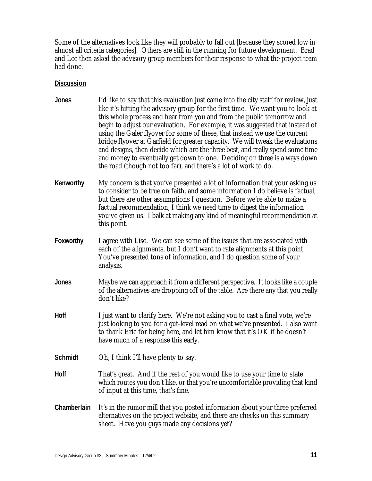Some of the alternatives look like they will probably to fall out [because they scored low in almost all criteria categories]. Others are still in the running for future development. Brad and Lee then asked the advisory group members for their response to what the project team had done.

| <b>Jones</b>   | I'd like to say that this evaluation just came into the city staff for review, just<br>like it's hitting the advisory group for the first time. We want you to look at<br>this whole process and hear from you and from the public tomorrow and<br>begin to adjust our evaluation. For example, it was suggested that instead of<br>using the Galer flyover for some of these, that instead we use the current<br>bridge flyover at Garfield for greater capacity. We will tweak the evaluations<br>and designs, then decide which are the three best, and really spend some time<br>and money to eventually get down to one. Deciding on three is a ways down<br>the road (though not too far), and there's a lot of work to do. |
|----------------|-----------------------------------------------------------------------------------------------------------------------------------------------------------------------------------------------------------------------------------------------------------------------------------------------------------------------------------------------------------------------------------------------------------------------------------------------------------------------------------------------------------------------------------------------------------------------------------------------------------------------------------------------------------------------------------------------------------------------------------|
| Kenworthy      | My concern is that you've presented a lot of information that your asking us<br>to consider to be true on faith, and some information I do believe is factual,<br>but there are other assumptions I question. Before we're able to make a<br>factual recommendation, I think we need time to digest the information<br>you've given us. I balk at making any kind of meaningful recommendation at<br>this point.                                                                                                                                                                                                                                                                                                                  |
| Foxworthy      | I agree with Lise. We can see some of the issues that are associated with<br>each of the alignments, but I don't want to rate alignments at this point.<br>You've presented tons of information, and I do question some of your<br>analysis.                                                                                                                                                                                                                                                                                                                                                                                                                                                                                      |
| <b>Jones</b>   | Maybe we can approach it from a different perspective. It looks like a couple<br>of the alternatives are dropping off of the table. Are there any that you really<br>don't like?                                                                                                                                                                                                                                                                                                                                                                                                                                                                                                                                                  |
| Hoff           | I just want to clarify here. We're not asking you to cast a final vote, we're<br>just looking to you for a gut-level read on what we've presented. I also want<br>to thank Eric for being here, and let him know that it's OK if he doesn't<br>have much of a response this early.                                                                                                                                                                                                                                                                                                                                                                                                                                                |
| <b>Schmidt</b> | Oh, I think I'll have plenty to say.                                                                                                                                                                                                                                                                                                                                                                                                                                                                                                                                                                                                                                                                                              |
| Hoff           | That's great. And if the rest of you would like to use your time to state<br>which routes you don't like, or that you're uncomfortable providing that kind<br>of input at this time, that's fine.                                                                                                                                                                                                                                                                                                                                                                                                                                                                                                                                 |
| Chamberlain    | It's in the rumor mill that you posted information about your three preferred<br>alternatives on the project website, and there are checks on this summary<br>sheet. Have you guys made any decisions yet?                                                                                                                                                                                                                                                                                                                                                                                                                                                                                                                        |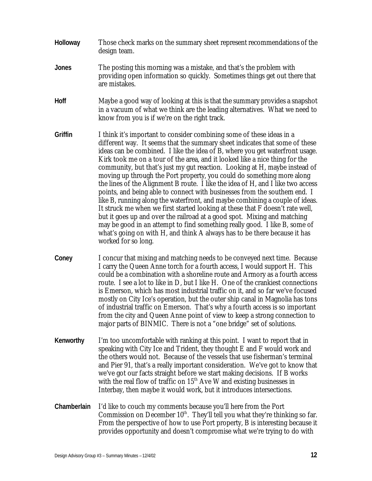- **Holloway** Those check marks on the summary sheet represent recommendations of the design team.
- **Jones** The posting this morning was a mistake, and that's the problem with providing open information so quickly. Sometimes things get out there that are mistakes.
- **Hoff** Maybe a good way of looking at this is that the summary provides a snapshot in a vacuum of what we think are the leading alternatives. What we need to know from you is if we're on the right track.
- **Griffin** I think it's important to consider combining some of these ideas in a different way. It seems that the summary sheet indicates that some of these ideas can be combined. I like the idea of B, where you get waterfront usage. Kirk took me on a tour of the area, and it looked like a nice thing for the community, but that's just my gut reaction. Looking at H, maybe instead of moving up through the Port property, you could do something more along the lines of the Alignment B route. I like the idea of H, and I like two access points, and being able to connect with businesses from the southern end. I like B, running along the waterfront, and maybe combining a couple of ideas. It struck me when we first started looking at these that F doesn't rate well, but it goes up and over the railroad at a good spot. Mixing and matching may be good in an attempt to find something really good. I like B, some of what's going on with H, and think A always has to be there because it has worked for so long.
- **Coney** I concur that mixing and matching needs to be conveyed next time. Because I carry the Queen Anne torch for a fourth access, I would support H. This could be a combination with a shoreline route and Armory as a fourth access route. I see a lot to like in D, but I like H. One of the crankiest connections is Emerson, which has most industrial traffic on it, and so far we've focused mostly on City Ice's operation, but the outer ship canal in Magnolia has tons of industrial traffic on Emerson. That's why a fourth access is so important from the city and Queen Anne point of view to keep a strong connection to major parts of BINMIC. There is not a "one bridge" set of solutions.
- **Kenworthy** I'm too uncomfortable with ranking at this point. I want to report that in speaking with City Ice and Trident, they thought E and F would work and the others would not. Because of the vessels that use fisherman's terminal and Pier 91, that's a really important consideration. We've got to know that we've got our facts straight before we start making decisions. If B works with the real flow of traffic on  $15<sup>th</sup>$  Ave W and existing businesses in Interbay, then maybe it would work, but it introduces intersections.
- **Chamberlain** I'd like to couch my comments because you'll here from the Port Commission on December  $10<sup>th</sup>$ . They'll tell you what they're thinking so far. From the perspective of how to use Port property, B is interesting because it provides opportunity and doesn't compromise what we're trying to do with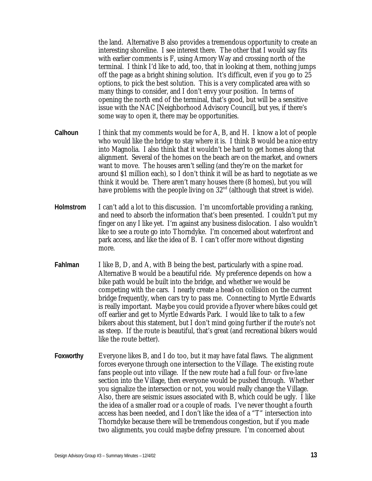the land. Alternative B also provides a tremendous opportunity to create an interesting shoreline. I see interest there. The other that I would say fits with earlier comments is F, using Armory Way and crossing north of the terminal. I think I'd like to add, too, that in looking at them, nothing jumps off the page as a bright shining solution. It's difficult, even if you go to 25 options, to pick the best solution. This is a very complicated area with so many things to consider, and I don't envy your position. In terms of opening the north end of the terminal, that's good, but will be a sensitive issue with the NAC [Neighborhood Advisory Council], but yes, if there's some way to open it, there may be opportunities.

- **Calhoun** I think that my comments would be for A, B, and H. I know a lot of people who would like the bridge to stay where it is. I think B would be a nice entry into Magnolia. I also think that it wouldn't be hard to get homes along that alignment. Several of the homes on the beach are on the market, and owners want to move. The houses aren't selling (and they're on the market for around \$1 million each), so I don't think it will be as hard to negotiate as we think it would be. There aren't many houses there (8 homes), but you will have problems with the people living on  $32<sup>nd</sup>$  (although that street is wide).
- **Holmstrom** I can't add a lot to this discussion. I'm uncomfortable providing a ranking, and need to absorb the information that's been presented. I couldn't put my finger on any I like yet. I'm against any business dislocation. I also wouldn't like to see a route go into Thorndyke. I'm concerned about waterfront and park access, and like the idea of B. I can't offer more without digesting more.
- **Fahlman** I like B, D, and A, with B being the best, particularly with a spine road. Alternative B would be a beautiful ride. My preference depends on how a bike path would be built into the bridge, and whether we would be competing with the cars. I nearly create a head-on collision on the current bridge frequently, when cars try to pass me. Connecting to Myrtle Edwards is really important. Maybe you could provide a flyover where bikes could get off earlier and get to Myrtle Edwards Park. I would like to talk to a few bikers about this statement, but I don't mind going further if the route's not as steep. If the route is beautiful, that's great (and recreational bikers would like the route better).
- **Foxworthy** Everyone likes B, and I do too, but it may have fatal flaws. The alignment forces everyone through one intersection to the Village. The existing route fans people out into village. If the new route had a full four- or five-lane section into the Village, then everyone would be pushed through. Whether you signalize the intersection or not, you would really change the Village. Also, there are seismic issues associated with B, which could be ugly. I like the idea of a smaller road or a couple of roads. I've never thought a fourth access has been needed, and I don't like the idea of a "T" intersection into Thorndyke because there will be tremendous congestion, but if you made two alignments, you could maybe defray pressure. I'm concerned about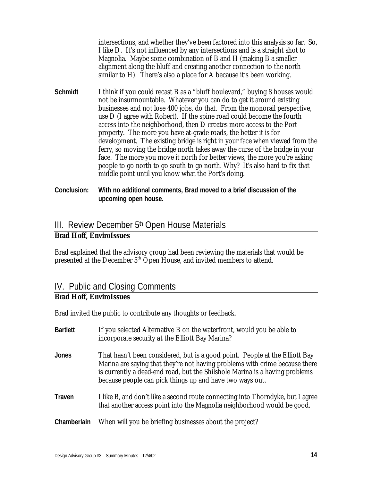intersections, and whether they've been factored into this analysis so far. So, I like D. It's not influenced by any intersections and is a straight shot to Magnolia. Maybe some combination of B and H (making B a smaller alignment along the bluff and creating another connection to the north similar to H). There's also a place for A because it's been working.

- **Schmidt** I think if you could recast B as a "bluff boulevard," buying 8 houses would not be insurmountable. Whatever you can do to get it around existing businesses and not lose 400 jobs, do that. From the monorail perspective, use D (I agree with Robert). If the spine road could become the fourth access into the neighborhood, then D creates more access to the Port property. The more you have at-grade roads, the better it is for development. The existing bridge is right in your face when viewed from the ferry, so moving the bridge north takes away the curse of the bridge in your face. The more you move it north for better views, the more you're asking people to go north to go south to go north. Why? It's also hard to fix that middle point until you know what the Port's doing.
- **Conclusion: With no additional comments, Brad moved to a brief discussion of the upcoming open house.**

# III. Review December 5<sup>th</sup> Open House Materials

## **Brad Hoff, EnviroIssues**

Brad explained that the advisory group had been reviewing the materials that would be presented at the December 5<sup>th</sup> Open House, and invited members to attend.

# IV. Public and Closing Comments

## **Brad Hoff, EnviroIssues**

Brad invited the public to contribute any thoughts or feedback.

| <b>Bartlett</b> | If you selected Alternative B on the waterfront, would you be able to<br>incorporate security at the Elliott Bay Marina?                                                                                                                                                                              |
|-----------------|-------------------------------------------------------------------------------------------------------------------------------------------------------------------------------------------------------------------------------------------------------------------------------------------------------|
| <b>Jones</b>    | That hasn't been considered, but is a good point. People at the Elliott Bay<br>Marina are saying that they're not having problems with crime because there<br>is currently a dead-end road, but the Shilshole Marina is a having problems<br>because people can pick things up and have two ways out. |
| Traven          | I like B, and don't like a second route connecting into Thorndyke, but I agree<br>that another access point into the Magnolia neighborhood would be good.                                                                                                                                             |
| Chamberlain     | When will you be briefing businesses about the project?                                                                                                                                                                                                                                               |